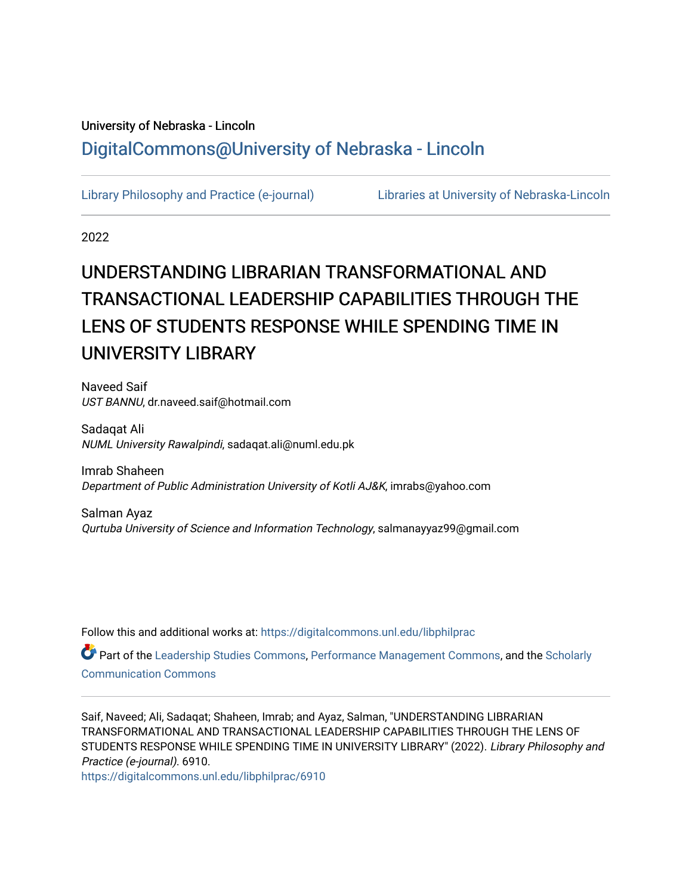## University of Nebraska - Lincoln [DigitalCommons@University of Nebraska - Lincoln](https://digitalcommons.unl.edu/)

[Library Philosophy and Practice \(e-journal\)](https://digitalcommons.unl.edu/libphilprac) [Libraries at University of Nebraska-Lincoln](https://digitalcommons.unl.edu/libraries) 

2022

# UNDERSTANDING LIBRARIAN TRANSFORMATIONAL AND TRANSACTIONAL LEADERSHIP CAPABILITIES THROUGH THE LENS OF STUDENTS RESPONSE WHILE SPENDING TIME IN UNIVERSITY LIBRARY

Naveed Saif UST BANNU, dr.naveed.saif@hotmail.com

Sadaqat Ali NUML University Rawalpindi, sadaqat.ali@numl.edu.pk

Imrab Shaheen Department of Public Administration University of Kotli AJ&K, imrabs@yahoo.com

Salman Ayaz Qurtuba University of Science and Information Technology, salmanayyaz99@gmail.com

Follow this and additional works at: [https://digitalcommons.unl.edu/libphilprac](https://digitalcommons.unl.edu/libphilprac?utm_source=digitalcommons.unl.edu%2Flibphilprac%2F6910&utm_medium=PDF&utm_campaign=PDFCoverPages) 

Part of the [Leadership Studies Commons,](http://network.bepress.com/hgg/discipline/1250?utm_source=digitalcommons.unl.edu%2Flibphilprac%2F6910&utm_medium=PDF&utm_campaign=PDFCoverPages) [Performance Management Commons,](http://network.bepress.com/hgg/discipline/1256?utm_source=digitalcommons.unl.edu%2Flibphilprac%2F6910&utm_medium=PDF&utm_campaign=PDFCoverPages) and the [Scholarly](http://network.bepress.com/hgg/discipline/1272?utm_source=digitalcommons.unl.edu%2Flibphilprac%2F6910&utm_medium=PDF&utm_campaign=PDFCoverPages)  [Communication Commons](http://network.bepress.com/hgg/discipline/1272?utm_source=digitalcommons.unl.edu%2Flibphilprac%2F6910&utm_medium=PDF&utm_campaign=PDFCoverPages)

Saif, Naveed; Ali, Sadaqat; Shaheen, Imrab; and Ayaz, Salman, "UNDERSTANDING LIBRARIAN TRANSFORMATIONAL AND TRANSACTIONAL LEADERSHIP CAPABILITIES THROUGH THE LENS OF STUDENTS RESPONSE WHILE SPENDING TIME IN UNIVERSITY LIBRARY" (2022). Library Philosophy and Practice (e-journal). 6910.

[https://digitalcommons.unl.edu/libphilprac/6910](https://digitalcommons.unl.edu/libphilprac/6910?utm_source=digitalcommons.unl.edu%2Flibphilprac%2F6910&utm_medium=PDF&utm_campaign=PDFCoverPages)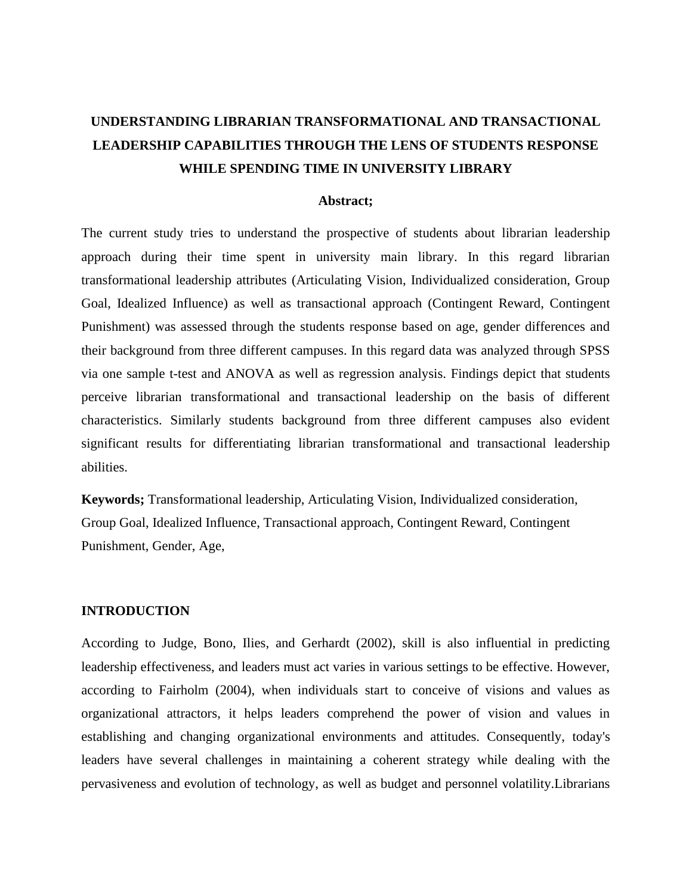## **UNDERSTANDING LIBRARIAN TRANSFORMATIONAL AND TRANSACTIONAL LEADERSHIP CAPABILITIES THROUGH THE LENS OF STUDENTS RESPONSE WHILE SPENDING TIME IN UNIVERSITY LIBRARY**

#### **Abstract;**

The current study tries to understand the prospective of students about librarian leadership approach during their time spent in university main library. In this regard librarian transformational leadership attributes (Articulating Vision, Individualized consideration, Group Goal, Idealized Influence) as well as transactional approach (Contingent Reward, Contingent Punishment) was assessed through the students response based on age, gender differences and their background from three different campuses. In this regard data was analyzed through SPSS via one sample t-test and ANOVA as well as regression analysis. Findings depict that students perceive librarian transformational and transactional leadership on the basis of different characteristics. Similarly students background from three different campuses also evident significant results for differentiating librarian transformational and transactional leadership abilities.

**Keywords;** Transformational leadership, Articulating Vision, Individualized consideration, Group Goal, Idealized Influence, Transactional approach, Contingent Reward, Contingent Punishment, Gender, Age,

#### **INTRODUCTION**

According to Judge, Bono, Ilies, and Gerhardt (2002), skill is also influential in predicting leadership effectiveness, and leaders must act varies in various settings to be effective. However, according to Fairholm (2004), when individuals start to conceive of visions and values as organizational attractors, it helps leaders comprehend the power of vision and values in establishing and changing organizational environments and attitudes. Consequently, today's leaders have several challenges in maintaining a coherent strategy while dealing with the pervasiveness and evolution of technology, as well as budget and personnel volatility.Librarians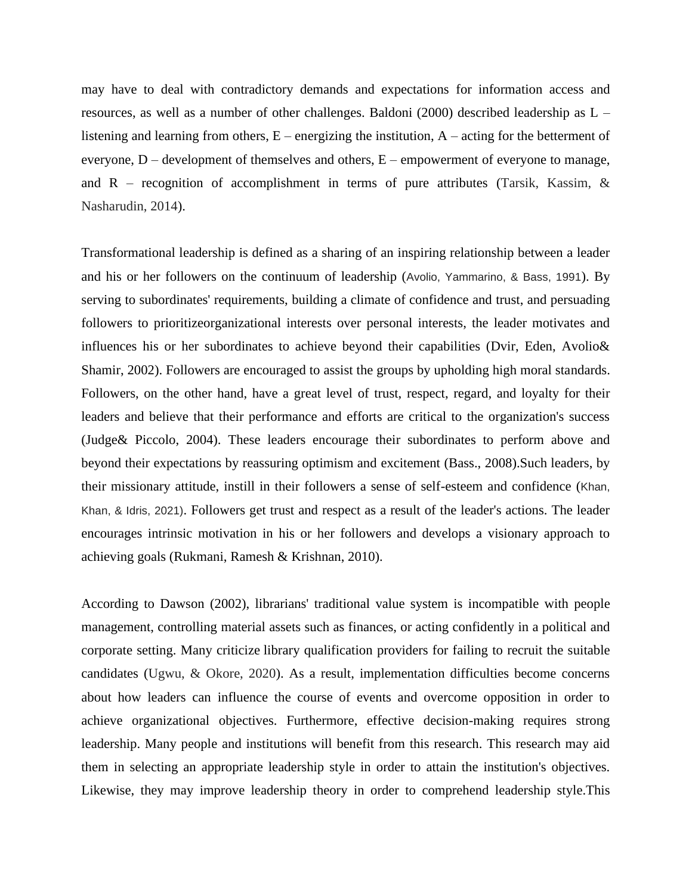may have to deal with contradictory demands and expectations for information access and resources, as well as a number of other challenges. Baldoni (2000) described leadership as  $L$ listening and learning from others,  $E$  – energizing the institution,  $A$  – acting for the betterment of everyone,  $D$  – development of themselves and others,  $E$  – empowerment of everyone to manage, and  $R$  – recognition of accomplishment in terms of pure attributes (Tarsik, Kassim,  $\&$ Nasharudin, 2014).

Transformational leadership is defined as a sharing of an inspiring relationship between a leader and his or her followers on the continuum of leadership (Avolio, Yammarino, & Bass, 1991). By serving to subordinates' requirements, building a climate of confidence and trust, and persuading followers to prioritizeorganizational interests over personal interests, the leader motivates and influences his or her subordinates to achieve beyond their capabilities (Dvir, Eden, Avolio& Shamir, 2002). Followers are encouraged to assist the groups by upholding high moral standards. Followers, on the other hand, have a great level of trust, respect, regard, and loyalty for their leaders and believe that their performance and efforts are critical to the organization's success (Judge& Piccolo, 2004). These leaders encourage their subordinates to perform above and beyond their expectations by reassuring optimism and excitement (Bass., 2008).Such leaders, by their missionary attitude, instill in their followers a sense of self-esteem and confidence (Khan, Khan, & Idris, 2021). Followers get trust and respect as a result of the leader's actions. The leader encourages intrinsic motivation in his or her followers and develops a visionary approach to achieving goals (Rukmani, Ramesh & Krishnan, 2010).

According to Dawson (2002), librarians' traditional value system is incompatible with people management, controlling material assets such as finances, or acting confidently in a political and corporate setting. Many criticize library qualification providers for failing to recruit the suitable candidates (Ugwu, & Okore, 2020). As a result, implementation difficulties become concerns about how leaders can influence the course of events and overcome opposition in order to achieve organizational objectives. Furthermore, effective decision-making requires strong leadership. Many people and institutions will benefit from this research. This research may aid them in selecting an appropriate leadership style in order to attain the institution's objectives. Likewise, they may improve leadership theory in order to comprehend leadership style.This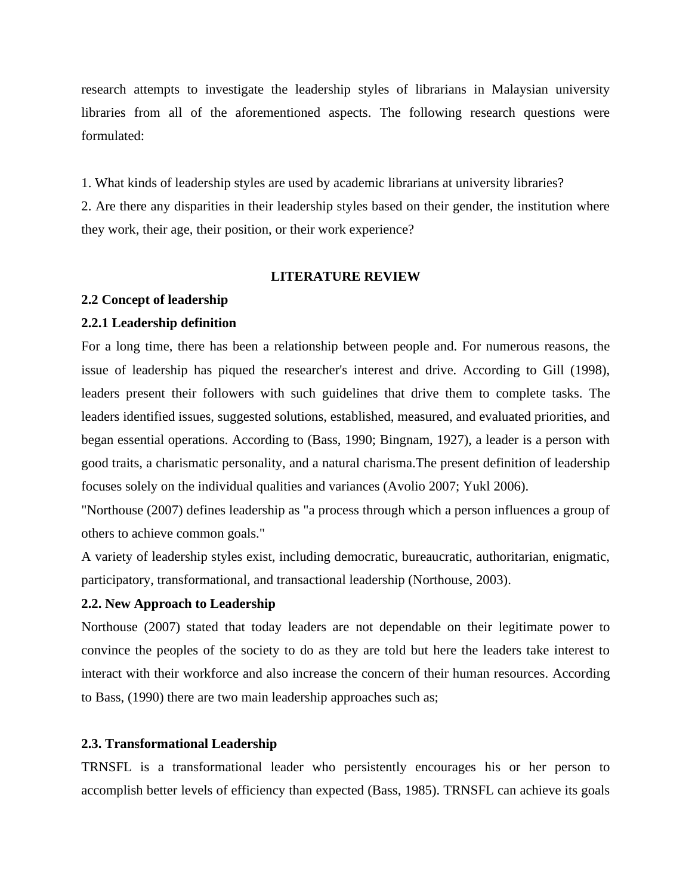research attempts to investigate the leadership styles of librarians in Malaysian university libraries from all of the aforementioned aspects. The following research questions were formulated:

1. What kinds of leadership styles are used by academic librarians at university libraries?

2. Are there any disparities in their leadership styles based on their gender, the institution where they work, their age, their position, or their work experience?

#### **LITERATURE REVIEW**

#### **2.2 Concept of leadership**

#### **2.2.1 Leadership definition**

For a long time, there has been a relationship between people and. For numerous reasons, the issue of leadership has piqued the researcher's interest and drive. According to Gill (1998), leaders present their followers with such guidelines that drive them to complete tasks. The leaders identified issues, suggested solutions, established, measured, and evaluated priorities, and began essential operations. According to (Bass, 1990; Bingnam, 1927), a leader is a person with good traits, a charismatic personality, and a natural charisma.The present definition of leadership focuses solely on the individual qualities and variances (Avolio 2007; Yukl 2006).

"Northouse (2007) defines leadership as "a process through which a person influences a group of others to achieve common goals."

A variety of leadership styles exist, including democratic, bureaucratic, authoritarian, enigmatic, participatory, transformational, and transactional leadership (Northouse, 2003).

#### **2.2. New Approach to Leadership**

Northouse (2007) stated that today leaders are not dependable on their legitimate power to convince the peoples of the society to do as they are told but here the leaders take interest to interact with their workforce and also increase the concern of their human resources. According to Bass, (1990) there are two main leadership approaches such as;

#### **2.3. Transformational Leadership**

TRNSFL is a transformational leader who persistently encourages his or her person to accomplish better levels of efficiency than expected (Bass, 1985). TRNSFL can achieve its goals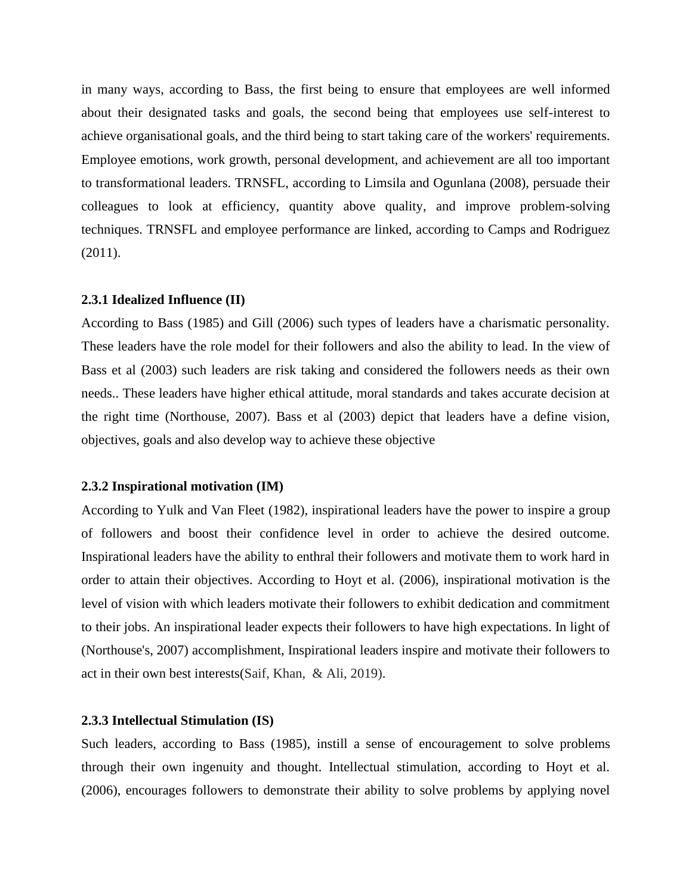in many ways, according to Bass, the first being to ensure that employees are well informed about their designated tasks and goals, the second being that employees use self-interest to achieve organisational goals, and the third being to start taking care of the workers' requirements. Employee emotions, work growth, personal development, and achievement are all too important to transformational leaders. TRNSFL, according to Limsila and Ogunlana (2008), persuade their colleagues to look at efficiency, quantity above quality, and improve problem-solving techniques. TRNSFL and employee performance are linked, according to Camps and Rodriguez (2011).

#### **2.3.1 Idealized Influence (II)**

According to Bass (1985) and Gill (2006) such types of leaders have a charismatic personality. These leaders have the role model for their followers and also the ability to lead. In the view of Bass et al (2003) such leaders are risk taking and considered the followers needs as their own needs.. These leaders have higher ethical attitude, moral standards and takes accurate decision at the right time (Northouse, 2007). Bass et al (2003) depict that leaders have a define vision, objectives, goals and also develop way to achieve these objective

#### **2.3.2 Inspirational motivation (IM)**

According to Yulk and Van Fleet (1982), inspirational leaders have the power to inspire a group of followers and boost their confidence level in order to achieve the desired outcome. Inspirational leaders have the ability to enthral their followers and motivate them to work hard in order to attain their objectives. According to Hoyt et al. (2006), inspirational motivation is the level of vision with which leaders motivate their followers to exhibit dedication and commitment to their jobs. An inspirational leader expects their followers to have high expectations. In light of (Northouse's, 2007) accomplishment, Inspirational leaders inspire and motivate their followers to act in their own best interests(Saif, Khan, & Ali, 2019).

#### **2.3.3 Intellectual Stimulation (IS)**

Such leaders, according to Bass (1985), instill a sense of encouragement to solve problems through their own ingenuity and thought. Intellectual stimulation, according to Hoyt et al. (2006), encourages followers to demonstrate their ability to solve problems by applying novel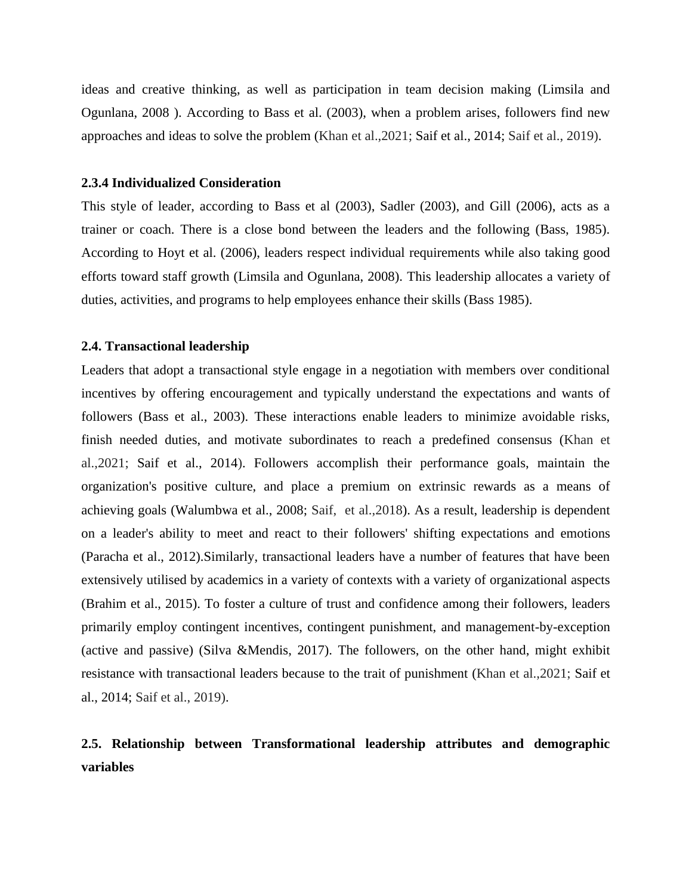ideas and creative thinking, as well as participation in team decision making (Limsila and Ogunlana, 2008 ). According to Bass et al. (2003), when a problem arises, followers find new approaches and ideas to solve the problem (Khan et al.,2021; Saif et al., 2014; Saif et al., 2019).

#### **2.3.4 Individualized Consideration**

This style of leader, according to Bass et al (2003), Sadler (2003), and Gill (2006), acts as a trainer or coach. There is a close bond between the leaders and the following (Bass, 1985). According to Hoyt et al. (2006), leaders respect individual requirements while also taking good efforts toward staff growth (Limsila and Ogunlana, 2008). This leadership allocates a variety of duties, activities, and programs to help employees enhance their skills (Bass 1985).

#### **2.4. Transactional leadership**

Leaders that adopt a transactional style engage in a negotiation with members over conditional incentives by offering encouragement and typically understand the expectations and wants of followers (Bass et al., 2003). These interactions enable leaders to minimize avoidable risks, finish needed duties, and motivate subordinates to reach a predefined consensus (Khan et al.,2021; Saif et al., 2014). Followers accomplish their performance goals, maintain the organization's positive culture, and place a premium on extrinsic rewards as a means of achieving goals (Walumbwa et al., 2008; Saif, et al.,2018). As a result, leadership is dependent on a leader's ability to meet and react to their followers' shifting expectations and emotions (Paracha et al., 2012).Similarly, transactional leaders have a number of features that have been extensively utilised by academics in a variety of contexts with a variety of organizational aspects (Brahim et al., 2015). To foster a culture of trust and confidence among their followers, leaders primarily employ contingent incentives, contingent punishment, and management-by-exception (active and passive) (Silva &Mendis, 2017). The followers, on the other hand, might exhibit resistance with transactional leaders because to the trait of punishment (Khan et al.,2021; Saif et al., 2014; Saif et al., 2019).

### **2.5. Relationship between Transformational leadership attributes and demographic variables**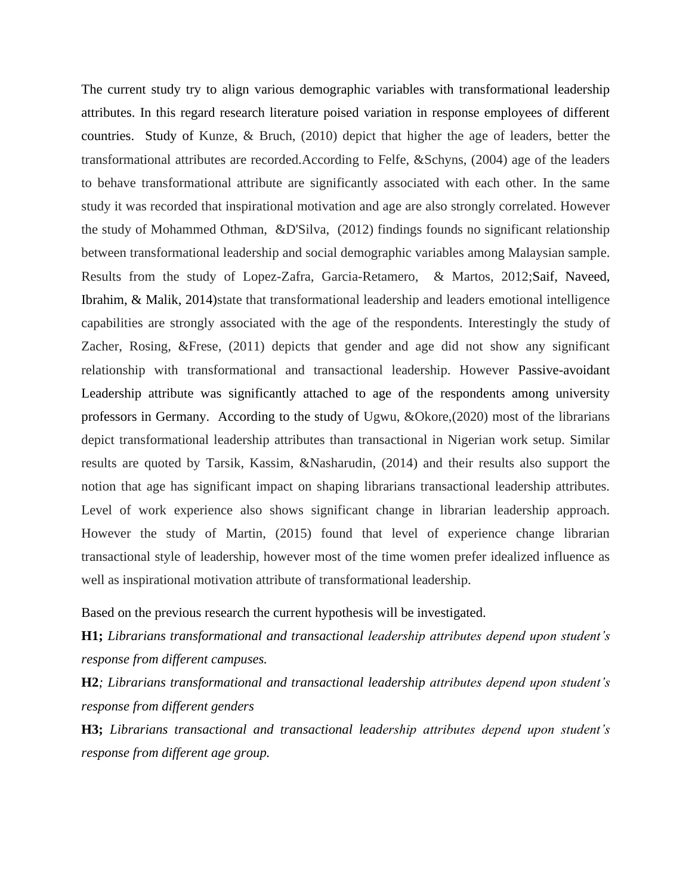The current study try to align various demographic variables with transformational leadership attributes. In this regard research literature poised variation in response employees of different countries. Study of Kunze, & Bruch, (2010) depict that higher the age of leaders, better the transformational attributes are recorded.According to Felfe, &Schyns, (2004) age of the leaders to behave transformational attribute are significantly associated with each other. In the same study it was recorded that inspirational motivation and age are also strongly correlated. However the study of Mohammed Othman, &D'Silva, (2012) findings founds no significant relationship between transformational leadership and social demographic variables among Malaysian sample. Results from the study of Lopez-Zafra, Garcia-Retamero, & Martos, 2012;Saif, Naveed, Ibrahim, & Malik, 2014)state that transformational leadership and leaders emotional intelligence capabilities are strongly associated with the age of the respondents. Interestingly the study of Zacher, Rosing, &Frese, (2011) depicts that gender and age did not show any significant relationship with transformational and transactional leadership. However Passive-avoidant Leadership attribute was significantly attached to age of the respondents among university professors in Germany. According to the study of Ugwu, &Okore,(2020) most of the librarians depict transformational leadership attributes than transactional in Nigerian work setup. Similar results are quoted by Tarsik, Kassim, &Nasharudin, (2014) and their results also support the notion that age has significant impact on shaping librarians transactional leadership attributes. Level of work experience also shows significant change in librarian leadership approach. However the study of Martin, (2015) found that level of experience change librarian transactional style of leadership, however most of the time women prefer idealized influence as well as inspirational motivation attribute of transformational leadership.

Based on the previous research the current hypothesis will be investigated.

**H1;** *Librarians transformational and transactional leadership attributes depend upon student's response from different campuses.*

**H2***; Librarians transformational and transactional leadership attributes depend upon student's response from different genders*

**H3;** *Librarians transactional and transactional leadership attributes depend upon student's response from different age group.*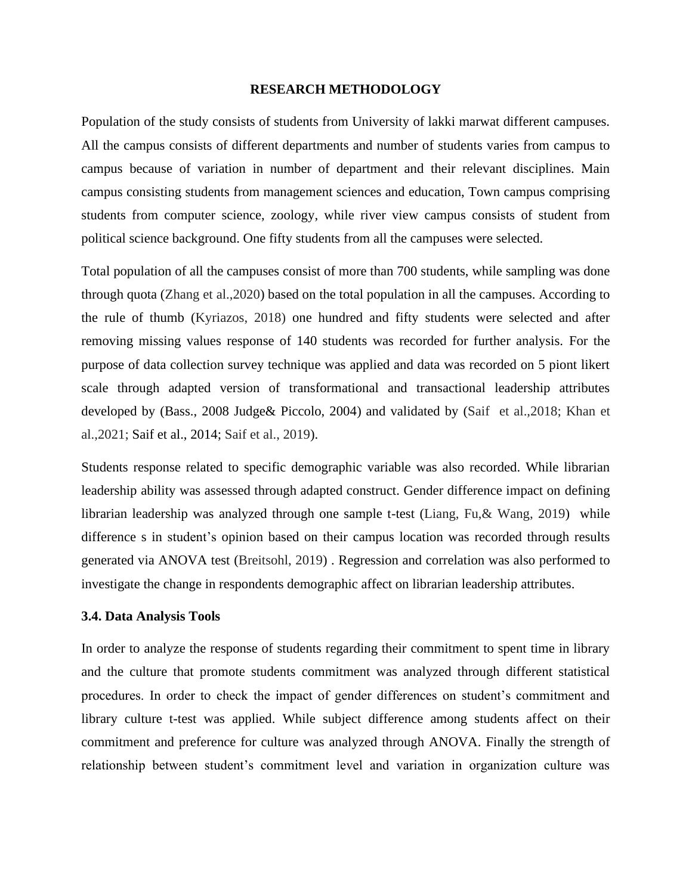#### **RESEARCH METHODOLOGY**

Population of the study consists of students from University of lakki marwat different campuses. All the campus consists of different departments and number of students varies from campus to campus because of variation in number of department and their relevant disciplines. Main campus consisting students from management sciences and education, Town campus comprising students from computer science, zoology, while river view campus consists of student from political science background. One fifty students from all the campuses were selected.

Total population of all the campuses consist of more than 700 students, while sampling was done through quota (Zhang et al.,2020) based on the total population in all the campuses. According to the rule of thumb (Kyriazos, 2018) one hundred and fifty students were selected and after removing missing values response of 140 students was recorded for further analysis. For the purpose of data collection survey technique was applied and data was recorded on 5 piont likert scale through adapted version of transformational and transactional leadership attributes developed by (Bass., 2008 Judge& Piccolo, 2004) and validated by (Saif et al.,2018; Khan et al.,2021; Saif et al., 2014; Saif et al., 2019).

Students response related to specific demographic variable was also recorded. While librarian leadership ability was assessed through adapted construct. Gender difference impact on defining librarian leadership was analyzed through one sample t-test (Liang, Fu,& Wang, 2019) while difference s in student's opinion based on their campus location was recorded through results generated via ANOVA test (Breitsohl, 2019) . Regression and correlation was also performed to investigate the change in respondents demographic affect on librarian leadership attributes.

#### **3.4. Data Analysis Tools**

In order to analyze the response of students regarding their commitment to spent time in library and the culture that promote students commitment was analyzed through different statistical procedures. In order to check the impact of gender differences on student's commitment and library culture t-test was applied. While subject difference among students affect on their commitment and preference for culture was analyzed through ANOVA. Finally the strength of relationship between student's commitment level and variation in organization culture was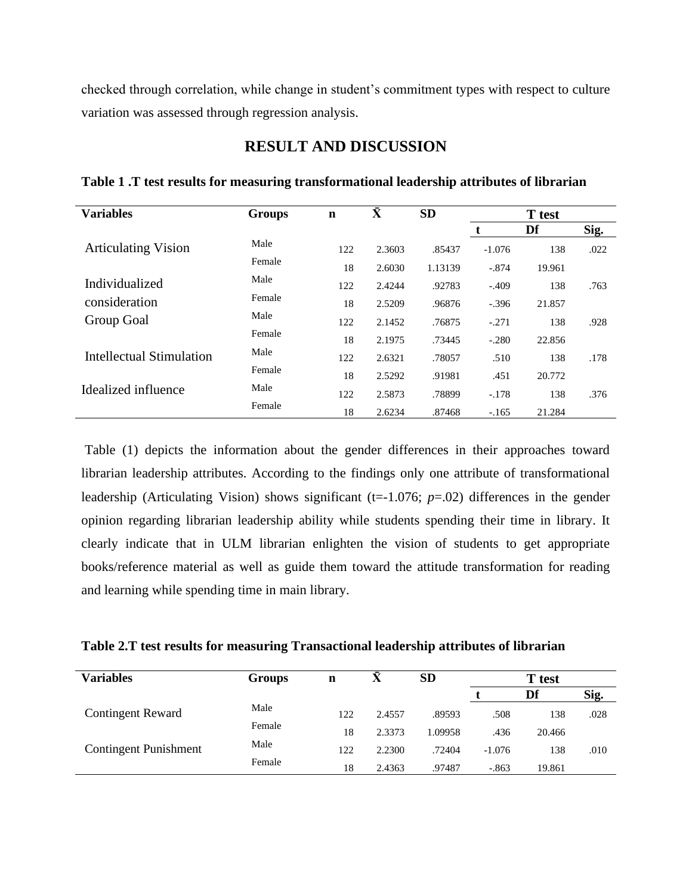checked through correlation, while change in student's commitment types with respect to culture variation was assessed through regression analysis.

| <b>Variables</b>           | <b>Groups</b> | $\mathbf n$ | $\bar{\mathbf{X}}$ | <b>SD</b> |          | <b>T</b> test |      |
|----------------------------|---------------|-------------|--------------------|-----------|----------|---------------|------|
|                            |               |             |                    |           |          | Df            | Sig. |
| <b>Articulating Vision</b> | Male          | 122         | 2.3603             | .85437    | $-1.076$ | 138           | .022 |
|                            | Female        | 18          | 2.6030             | 1.13139   | $-.874$  | 19.961        |      |
| Individualized             | Male          | 122         | 2.4244             | .92783    | $-.409$  | 138           | .763 |
| consideration              | Female        | 18          | 2.5209             | .96876    | $-.396$  | 21.857        |      |
| Group Goal                 | Male          | 122         | 2.1452             | .76875    | $-.271$  | 138           | .928 |
|                            | Female        | 18          | 2.1975             | .73445    | $-.280$  | 22.856        |      |
| Intellectual Stimulation   | Male          | 122         | 2.6321             | .78057    | .510     | 138           | .178 |
|                            | Female        | 18          | 2.5292             | .91981    | .451     | 20.772        |      |
| Idealized influence        | Male          | 122         | 2.5873             | .78899    | $-.178$  | 138           | .376 |
|                            | Female        | 18          | 2.6234             | .87468    | $-.165$  | 21.284        |      |

#### **RESULT AND DISCUSSION**

**Table 1 .T test results for measuring transformational leadership attributes of librarian**

Table (1) depicts the information about the gender differences in their approaches toward librarian leadership attributes. According to the findings only one attribute of transformational leadership (Articulating Vision) shows significant (t=-1.076; *p*=.02) differences in the gender opinion regarding librarian leadership ability while students spending their time in library. It clearly indicate that in ULM librarian enlighten the vision of students to get appropriate books/reference material as well as guide them toward the attitude transformation for reading and learning while spending time in main library.

**Table 2.T test results for measuring Transactional leadership attributes of librarian**

| <b>Variables</b>             | <b>Groups</b> | n   |        | <b>SD</b> |          | <b>T</b> test |      |
|------------------------------|---------------|-----|--------|-----------|----------|---------------|------|
|                              |               |     |        |           |          | Df            | Sig. |
| <b>Contingent Reward</b>     | Male          | 122 | 2.4557 | .89593    | .508     | 138           | .028 |
|                              | Female        | 18  | 2.3373 | 1.09958   | .436     | 20.466        |      |
| <b>Contingent Punishment</b> | Male          | 122 | 2.2300 | .72404    | $-1.076$ | 138           | .010 |
|                              | Female        | 18  | 2.4363 | .97487    | $-.863$  | 19.861        |      |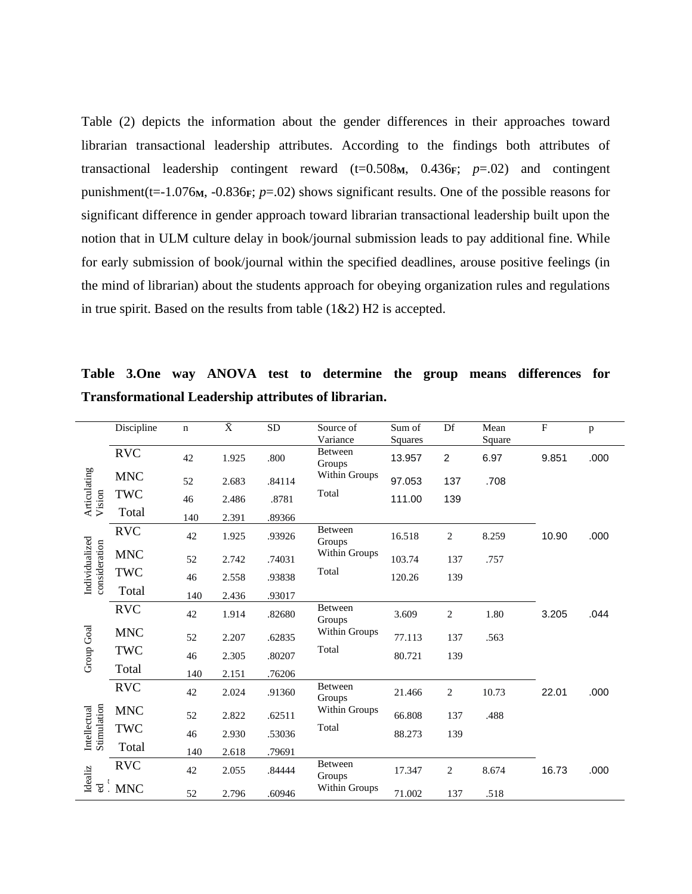Table (2) depicts the information about the gender differences in their approaches toward librarian transactional leadership attributes. According to the findings both attributes of transactional leadership contingent reward  $(t=0.508M, 0.436F; p=.02)$  and contingent punishment(t=-1.076**M**, -0.836**F**; *p*=.02) shows significant results. One of the possible reasons for significant difference in gender approach toward librarian transactional leadership built upon the notion that in ULM culture delay in book/journal submission leads to pay additional fine. While for early submission of book/journal within the specified deadlines, arouse positive feelings (in the mind of librarian) about the students approach for obeying organization rules and regulations in true spirit. Based on the results from table  $(1& 2)$  H2 is accepted.

|                                 | Discipline  | $\mathbf n$ | $\bar{\text{X}}$ | <b>SD</b> | Source of<br>Variance    | Sum of<br>Squares | Df             | Mean<br>Square | $\mathbf{F}$ | p    |
|---------------------------------|-------------|-------------|------------------|-----------|--------------------------|-------------------|----------------|----------------|--------------|------|
|                                 | <b>RVC</b>  | 42          | 1.925            | .800      | <b>Between</b><br>Groups | 13.957            | $\overline{c}$ | 6.97           | 9.851        | .000 |
| Articulating<br>Vision          | <b>MNC</b>  | 52          | 2.683            | .84114    | Within Groups            | 97.053            | 137            | .708           |              |      |
|                                 | <b>TWC</b>  | 46          | 2.486            | .8781     | Total                    | 111.00            | 139            |                |              |      |
|                                 | Total       | 140         | 2.391            | .89366    |                          |                   |                |                |              |      |
|                                 | <b>RVC</b>  | 42          | 1.925            | .93926    | Between<br>Groups        | 16.518            | $\mathbf{2}$   | 8.259          | 10.90        | .000 |
|                                 | <b>MNC</b>  | 52          | 2.742            | .74031    | Within Groups            | 103.74            | 137            | .757           |              |      |
| Individualized<br>consideration | <b>TWC</b>  | 46          | 2.558            | .93838    | Total                    | 120.26            | 139            |                |              |      |
|                                 | Total       | 140         | 2.436            | .93017    |                          |                   |                |                |              |      |
|                                 | <b>RVC</b>  | 42          | 1.914            | .82680    | Between<br>Groups        | 3.609             | 2              | 1.80           | 3.205        | .044 |
|                                 | <b>MNC</b>  | 52          | 2.207            | .62835    | Within Groups            | 77.113            | 137            | .563           |              |      |
| Group Goal                      | <b>TWC</b>  | 46          | 2.305            | .80207    | Total                    | 80.721            | 139            |                |              |      |
|                                 | Total       | 140         | 2.151            | .76206    |                          |                   |                |                |              |      |
|                                 | <b>RVC</b>  | 42          | 2.024            | .91360    | <b>Between</b><br>Groups | 21.466            | $\mathbf{2}$   | 10.73          | 22.01        | .000 |
|                                 | <b>MNC</b>  | 52          | 2.822            | .62511    | Within Groups            | 66.808            | 137            | .488           |              |      |
| Stimulation<br>Intellectual     | <b>TWC</b>  | 46          | 2.930            | .53036    | Total                    | 88.273            | 139            |                |              |      |
|                                 | Total       | 140         | 2.618            | .79691    |                          |                   |                |                |              |      |
| Idealiz                         | <b>RVC</b>  | 42          | 2.055            | .84444    | Between<br>Groups        | 17.347            | $\mathbf{2}$   | 8.674          | 16.73        | .000 |
| ಕ                               | $\cdot$ MNC | 52          | 2.796            | .60946    | Within Groups            | 71.002            | 137            | .518           |              |      |

**Table 3.One way ANOVA test to determine the group means differences for Transformational Leadership attributes of librarian.**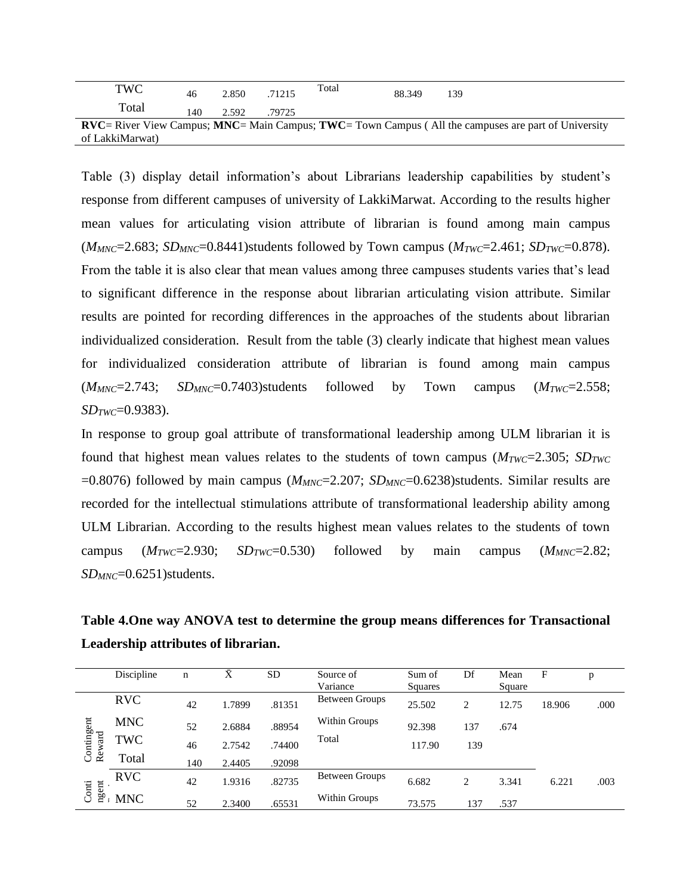| TWC             | 46  | 2.850 | .71215 | Total | 88.349 | 139                                                                                                                         |
|-----------------|-----|-------|--------|-------|--------|-----------------------------------------------------------------------------------------------------------------------------|
| Total           | 140 | 2.592 | .79725 |       |        |                                                                                                                             |
|                 |     |       |        |       |        | <b>RVC</b> = River View Campus; <b>MNC</b> = Main Campus; <b>TWC</b> = Town Campus (All the campuses are part of University |
| of LakkiMarwat) |     |       |        |       |        |                                                                                                                             |

Table (3) display detail information's about Librarians leadership capabilities by student's response from different campuses of university of LakkiMarwat. According to the results higher mean values for articulating vision attribute of librarian is found among main campus  $(M_{MNC}=2.683; SD_{MNC}=0.8441)$ students followed by Town campus  $(M_{TWC}=2.461; SD_{TWC}=0.878)$ . From the table it is also clear that mean values among three campuses students varies that's lead to significant difference in the response about librarian articulating vision attribute. Similar results are pointed for recording differences in the approaches of the students about librarian individualized consideration. Result from the table (3) clearly indicate that highest mean values for individualized consideration attribute of librarian is found among main campus  $(M_{MNC}=2.743; SD_{MNC}=0.7403)$ students followed by Town campus  $(M_{TWC}=2.558;$ *SDTWC*=0.9383).

In response to group goal attribute of transformational leadership among ULM librarian it is found that highest mean values relates to the students of town campus  $(M_{TWC}=2.305; SD_{TWC})$  $=0.8076$ ) followed by main campus ( $M_{MNC}=2.207$ ;  $SD_{MNC}=0.6238$ )students. Similar results are recorded for the intellectual stimulations attribute of transformational leadership ability among ULM Librarian. According to the results highest mean values relates to the students of town campus  $(M_{TWC}=2.930; SD_{TWC}=0.530)$  followed by main campus  $(M_{MNC}=2.82;$ *SDMNC*=0.6251)students.

**Table 4.One way ANOVA test to determine the group means differences for Transactional Leadership attributes of librarian.** 

|                      | Discipline | n   | Ā      | <b>SD</b> | Source of             | Sum of  | Df             | Mean   | F      | p    |
|----------------------|------------|-----|--------|-----------|-----------------------|---------|----------------|--------|--------|------|
|                      |            |     |        |           | Variance              | Squares |                | Square |        |      |
|                      | <b>RVC</b> | 42  | 1.7899 | .81351    | Between Groups        | 25.502  | 2              | 12.75  | 18.906 | .000 |
|                      | <b>MNC</b> | 52  | 2.6884 | .88954    | Within Groups         | 92.398  | 137            | .674   |        |      |
| Contingent<br>Reward | TWC        | 46  | 2.7542 | .74400    | Total                 | 117.90  | 139            |        |        |      |
|                      | Total      | 140 | 2.4405 | .92098    |                       |         |                |        |        |      |
|                      | <b>RVC</b> | 42  | 1.9316 | .82735    | <b>Between Groups</b> | 6.682   | $\overline{2}$ | 3.341  | 6.221  | .003 |
| ngent<br>Conti       | <b>MNC</b> | 52  | 2.3400 | .65531    | Within Groups         | 73.575  | 137            | .537   |        |      |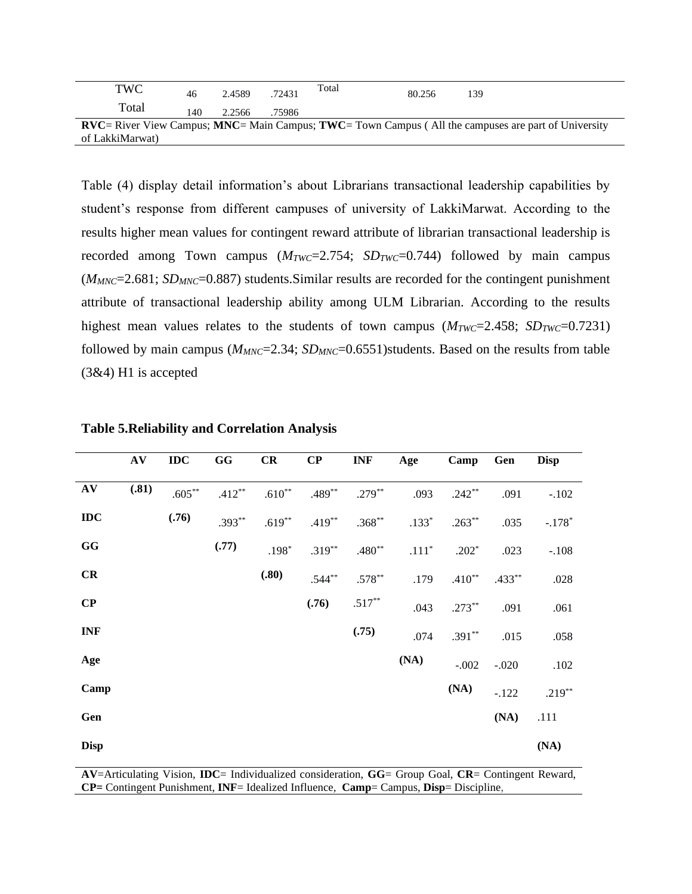| TWC             | 46  | 2.4589 | .72431 | Total | 80.256 | 139                                                                                                                         |
|-----------------|-----|--------|--------|-------|--------|-----------------------------------------------------------------------------------------------------------------------------|
| Total           | 140 | 2.2566 | .75986 |       |        |                                                                                                                             |
|                 |     |        |        |       |        | <b>RVC</b> = River View Campus; <b>MNC</b> = Main Campus; <b>TWC</b> = Town Campus (All the campuses are part of University |
| of LakkiMarwat) |     |        |        |       |        |                                                                                                                             |

Table (4) display detail information's about Librarians transactional leadership capabilities by student's response from different campuses of university of LakkiMarwat. According to the results higher mean values for contingent reward attribute of librarian transactional leadership is recorded among Town campus  $(M_{TWC}=2.754; SD_{TWC}=0.744)$  followed by main campus (*MMNC*=2.681; *SDMNC*=0.887) students.Similar results are recorded for the contingent punishment attribute of transactional leadership ability among ULM Librarian. According to the results highest mean values relates to the students of town campus  $(M_{TWC}=2.458; SD_{TWC}=0.7231)$ followed by main campus ( $M_{MNC}$ =2.34;  $SD_{MNC}$ =0.6551)students. Based on the results from table (3&4) H1 is accepted

|             | AV    | IDC       | $\mathbf{G}\mathbf{G}$ | CR       | $\bf CP$ | <b>INF</b> | Age     | Camp      | Gen       | <b>Disp</b> |
|-------------|-------|-----------|------------------------|----------|----------|------------|---------|-----------|-----------|-------------|
| AV          | (.81) | $.605***$ | $.412**$               | $.610**$ | $.489**$ | $.279***$  | .093    | $.242**$  | .091      | $-.102$     |
| $\bf{ID}$   |       | (.76)     | $.393**$               | $.619**$ | $.419**$ | $.368**$   | $.133*$ | $.263***$ | .035      | $-.178*$    |
| GG          |       |           | (.77)                  | $.198*$  | $.319**$ | $.480**$   | $.111*$ | $.202*$   | .023      | $-.108$     |
| CR          |       |           |                        | (.80)    | $.544**$ | $.578**$   | .179    | $.410**$  | $.433***$ | .028        |
| $\bf CP$    |       |           |                        |          | (.76)    | $.517**$   | .043    | $.273**$  | .091      | .061        |
| <b>INF</b>  |       |           |                        |          |          | (.75)      | .074    | $.391**$  | .015      | .058        |
| Age         |       |           |                        |          |          |            | (NA)    | $-.002$   | $-.020$   | $.102$      |
| Camp        |       |           |                        |          |          |            |         | (NA)      | $-.122$   | $.219**$    |
| Gen         |       |           |                        |          |          |            |         |           | (NA)      | .111        |
| <b>Disp</b> |       |           |                        |          |          |            |         |           |           | (NA)        |

**Table 5.Reliability and Correlation Analysis**

**AV**=Articulating Vision, **IDC**= Individualized consideration, **GG**= Group Goal, **CR**= Contingent Reward, **CP=** Contingent Punishment, **INF**= Idealized Influence, **Camp**= Campus, **Disp**= Discipline,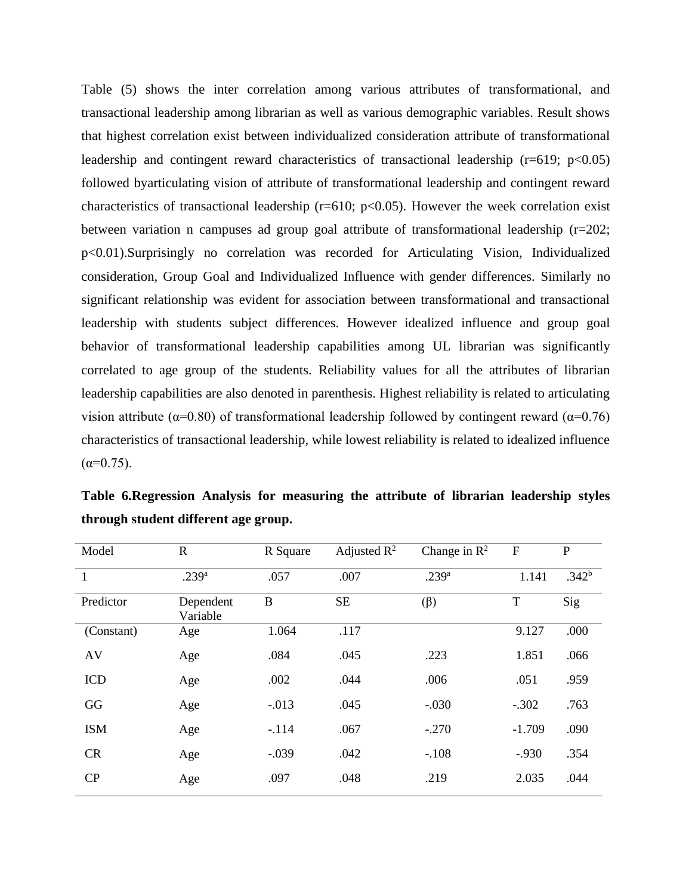Table (5) shows the inter correlation among various attributes of transformational, and transactional leadership among librarian as well as various demographic variables. Result shows that highest correlation exist between individualized consideration attribute of transformational leadership and contingent reward characteristics of transactional leadership ( $r=619$ ;  $p<0.05$ ) followed byarticulating vision of attribute of transformational leadership and contingent reward characteristics of transactional leadership ( $r=610$ ;  $p<0.05$ ). However the week correlation exist between variation n campuses ad group goal attribute of transformational leadership (r=202; p<0.01).Surprisingly no correlation was recorded for Articulating Vision, Individualized consideration, Group Goal and Individualized Influence with gender differences. Similarly no significant relationship was evident for association between transformational and transactional leadership with students subject differences. However idealized influence and group goal behavior of transformational leadership capabilities among UL librarian was significantly correlated to age group of the students. Reliability values for all the attributes of librarian leadership capabilities are also denoted in parenthesis. Highest reliability is related to articulating vision attribute ( $\alpha$ =0.80) of transformational leadership followed by contingent reward ( $\alpha$ =0.76) characteristics of transactional leadership, while lowest reliability is related to idealized influence  $(\alpha=0.75)$ .

| Model        | $\mathbf R$           | R Square | Adjusted $\mathbb{R}^2$ | Change in $\mathbb{R}^2$ | $\mathbf F$ | $\mathbf P$       |
|--------------|-----------------------|----------|-------------------------|--------------------------|-------------|-------------------|
| $\mathbf{1}$ | .239 <sup>a</sup>     | .057     | .007                    | .239 <sup>a</sup>        | 1.141       | .342 <sup>b</sup> |
| Predictor    | Dependent<br>Variable | B        | <b>SE</b>               | $(\beta)$                | T           | Sig               |
| (Constant)   | Age                   | 1.064    | .117                    |                          | 9.127       | .000              |
| AV           | Age                   | .084     | .045                    | .223                     | 1.851       | .066              |
| <b>ICD</b>   | Age                   | .002     | .044                    | .006                     | .051        | .959              |
| GG           | Age                   | $-0.013$ | .045                    | $-.030$                  | $-.302$     | .763              |
| <b>ISM</b>   | Age                   | $-.114$  | .067                    | $-.270$                  | $-1.709$    | .090              |
| <b>CR</b>    | Age                   | $-.039$  | .042                    | $-.108$                  | $-.930$     | .354              |
| CP           | Age                   | .097     | .048                    | .219                     | 2.035       | .044              |

**Table 6.Regression Analysis for measuring the attribute of librarian leadership styles through student different age group.**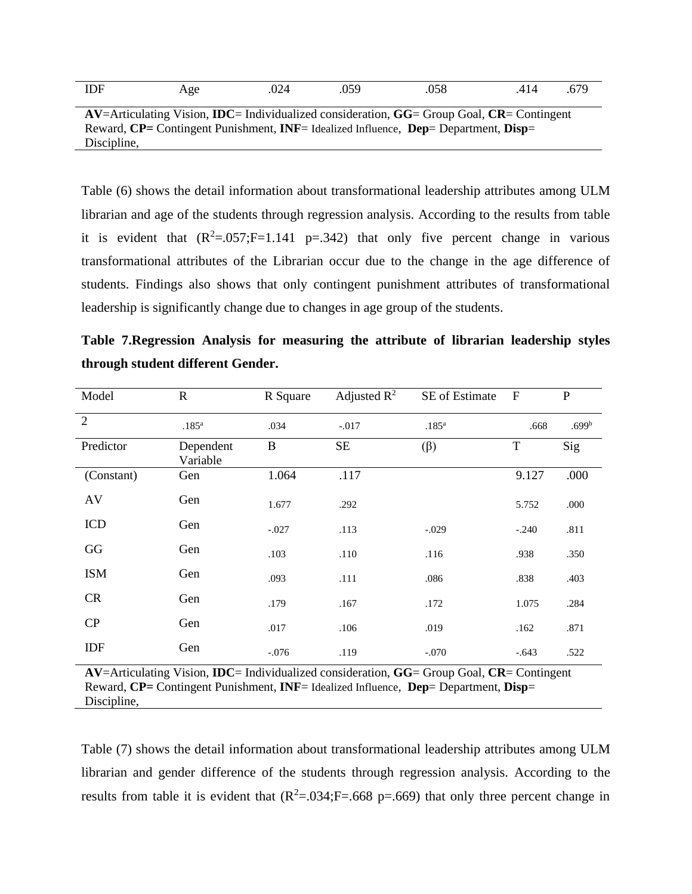| ۱F<br>11/1 | . Œ<br>⊷<br>11 Z J<br>$\tilde{\phantom{a}}$ | $\sim$<br>.U44 | .059 | Λ£<br>.U.JO<br>$\cdot$ $\cdot$ $\cdot$ | . 4<br>$\mathbf{1}$<br>$\cdot$ $\cdot$ $\cdot$ | $\cdot$ . $\cdot$ . |
|------------|---------------------------------------------|----------------|------|----------------------------------------|------------------------------------------------|---------------------|
|            |                                             |                |      |                                        |                                                |                     |

**AV**=Articulating Vision, **IDC**= Individualized consideration, **GG**= Group Goal, **CR**= Contingent Reward, **CP=** Contingent Punishment, **INF**= Idealized Influence, **Dep**= Department, **Disp**= Discipline,

Table (6) shows the detail information about transformational leadership attributes among ULM librarian and age of the students through regression analysis. According to the results from table it is evident that  $(R^2=.057;F=1.141 \text{ p}=.342)$  that only five percent change in various transformational attributes of the Librarian occur due to the change in the age difference of students. Findings also shows that only contingent punishment attributes of transformational leadership is significantly change due to changes in age group of the students.

| Table 7. Regression Analysis for measuring the attribute of librarian leadership styles |  |  |  |  |  |
|-----------------------------------------------------------------------------------------|--|--|--|--|--|
| through student different Gender.                                                       |  |  |  |  |  |

| Model          | $\mathbf R$           | R Square | Adjusted $\mathbb{R}^2$ | SE of Estimate    | ${\bf F}$   | ${\bf P}$         |
|----------------|-----------------------|----------|-------------------------|-------------------|-------------|-------------------|
| $\overline{2}$ | $.185^{a}$            | .034     | $-.017$                 | .185 <sup>a</sup> | .668        | .699 <sup>b</sup> |
| Predictor      | Dependent<br>Variable | $\bf{B}$ | <b>SE</b>               | $(\beta)$         | $\mathbf T$ | Sig               |
| (Constant)     | Gen                   | 1.064    | .117                    |                   | 9.127       | .000              |
| AV             | Gen                   | 1.677    | .292                    |                   | 5.752       | .000              |
| <b>ICD</b>     | Gen                   | $-.027$  | .113                    | $-.029$           | $-.240$     | .811              |
| GG             | Gen                   | .103     | .110                    | .116              | .938        | .350              |
| <b>ISM</b>     | Gen                   | .093     | .111                    | .086              | .838        | .403              |
| CR             | Gen                   | .179     | .167                    | .172              | 1.075       | .284              |
| CP             | Gen                   | .017     | .106                    | .019              | .162        | .871              |
| IDF            | Gen                   | $-.076$  | .119                    | $-.070$           | $-.643$     | .522              |

**AV**=Articulating Vision, **IDC**= Individualized consideration, **GG**= Group Goal, **CR**= Contingent Reward, **CP=** Contingent Punishment, **INF**= Idealized Influence, **Dep**= Department, **Disp**= Discipline,

Table (7) shows the detail information about transformational leadership attributes among ULM librarian and gender difference of the students through regression analysis. According to the results from table it is evident that  $(R^2 = .034; F = .668 \text{ p} = .669)$  that only three percent change in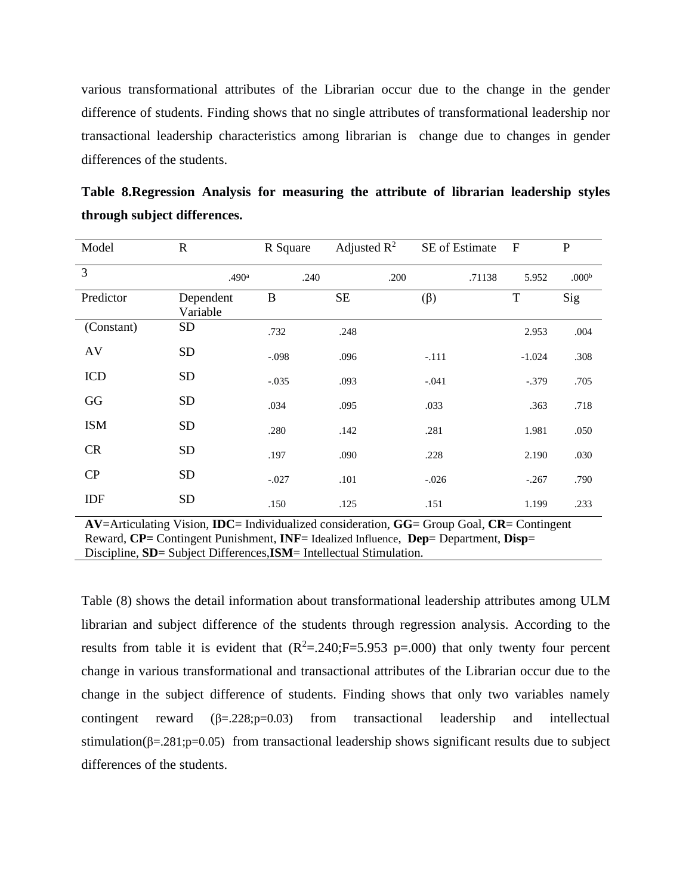various transformational attributes of the Librarian occur due to the change in the gender difference of students. Finding shows that no single attributes of transformational leadership nor transactional leadership characteristics among librarian is change due to changes in gender differences of the students.

| Model          | $\mathbf R$           | R Square | Adjusted $\mathbb{R}^2$ | SE of Estimate | $\mathbf{F}$ | $\mathbf P$       |
|----------------|-----------------------|----------|-------------------------|----------------|--------------|-------------------|
| $\overline{3}$ | .490 <sup>a</sup>     | .240     | .200                    | .71138         | 5.952        | .000 <sup>b</sup> |
| Predictor      | Dependent<br>Variable | B        | <b>SE</b>               | $(\beta)$      | T            | Sig               |
| (Constant)     | <b>SD</b>             | .732     | .248                    |                | 2.953        | .004              |
| AV             | <b>SD</b>             | $-.098$  | .096                    | $-.111$        | $-1.024$     | .308              |
| <b>ICD</b>     | <b>SD</b>             | $-.035$  | .093                    | $-.041$        | $-.379$      | .705              |
| GG             | <b>SD</b>             | .034     | .095                    | .033           | .363         | .718              |
| <b>ISM</b>     | <b>SD</b>             | .280     | .142                    | .281           | 1.981        | .050              |
| <b>CR</b>      | <b>SD</b>             | .197     | .090                    | .228           | 2.190        | .030              |
| CP             | <b>SD</b>             | $-.027$  | .101                    | $-0.026$       | $-.267$      | .790              |
| IDF            | <b>SD</b>             | .150     | .125                    | .151           | 1.199        | .233              |

**Table 8.Regression Analysis for measuring the attribute of librarian leadership styles through subject differences.**

**AV**=Articulating Vision, **IDC**= Individualized consideration, **GG**= Group Goal, **CR**= Contingent Reward, **CP=** Contingent Punishment, **INF**= Idealized Influence, **Dep**= Department, **Disp**= Discipline, **SD=** Subject Differences,**ISM**= Intellectual Stimulation.

Table (8) shows the detail information about transformational leadership attributes among ULM librarian and subject difference of the students through regression analysis. According to the results from table it is evident that  $(R^2 = .240; F = 5.953 \text{ p} = .000)$  that only twenty four percent change in various transformational and transactional attributes of the Librarian occur due to the change in the subject difference of students. Finding shows that only two variables namely contingent reward  $(\beta = 228; p = 0.03)$  from transactional leadership and intellectual stimulation( $\beta = 0.281$ ; p=0.05) from transactional leadership shows significant results due to subject differences of the students.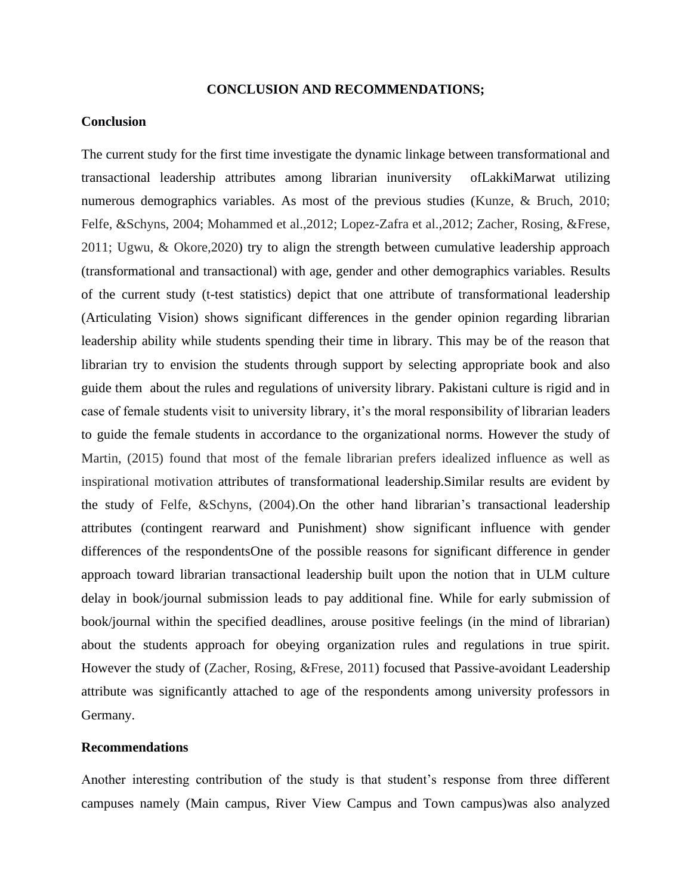#### **CONCLUSION AND RECOMMENDATIONS;**

#### **Conclusion**

The current study for the first time investigate the dynamic linkage between transformational and transactional leadership attributes among librarian inuniversity ofLakkiMarwat utilizing numerous demographics variables. As most of the previous studies (Kunze, & Bruch, 2010; Felfe, &Schyns, 2004; Mohammed et al.,2012; Lopez-Zafra et al.,2012; Zacher, Rosing, &Frese, 2011; Ugwu, & Okore,2020) try to align the strength between cumulative leadership approach (transformational and transactional) with age, gender and other demographics variables. Results of the current study (t-test statistics) depict that one attribute of transformational leadership (Articulating Vision) shows significant differences in the gender opinion regarding librarian leadership ability while students spending their time in library. This may be of the reason that librarian try to envision the students through support by selecting appropriate book and also guide them about the rules and regulations of university library. Pakistani culture is rigid and in case of female students visit to university library, it's the moral responsibility of librarian leaders to guide the female students in accordance to the organizational norms. However the study of Martin, (2015) found that most of the female librarian prefers idealized influence as well as inspirational motivation attributes of transformational leadership.Similar results are evident by the study of Felfe, &Schyns, (2004).On the other hand librarian's transactional leadership attributes (contingent rearward and Punishment) show significant influence with gender differences of the respondentsOne of the possible reasons for significant difference in gender approach toward librarian transactional leadership built upon the notion that in ULM culture delay in book/journal submission leads to pay additional fine. While for early submission of book/journal within the specified deadlines, arouse positive feelings (in the mind of librarian) about the students approach for obeying organization rules and regulations in true spirit. However the study of (Zacher, Rosing, &Frese, 2011) focused that Passive-avoidant Leadership attribute was significantly attached to age of the respondents among university professors in Germany.

#### **Recommendations**

Another interesting contribution of the study is that student's response from three different campuses namely (Main campus, River View Campus and Town campus)was also analyzed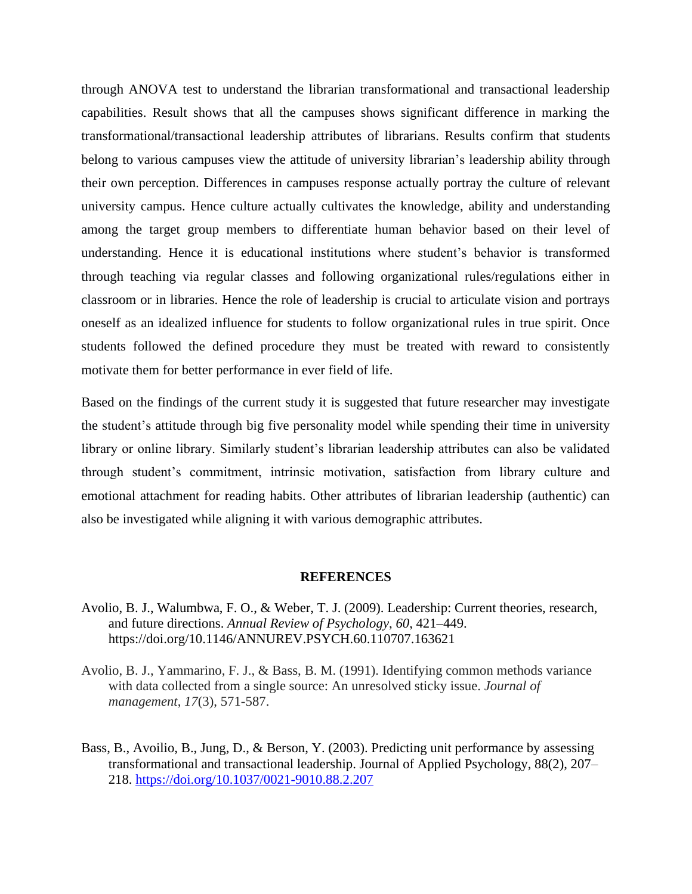through ANOVA test to understand the librarian transformational and transactional leadership capabilities. Result shows that all the campuses shows significant difference in marking the transformational/transactional leadership attributes of librarians. Results confirm that students belong to various campuses view the attitude of university librarian's leadership ability through their own perception. Differences in campuses response actually portray the culture of relevant university campus. Hence culture actually cultivates the knowledge, ability and understanding among the target group members to differentiate human behavior based on their level of understanding. Hence it is educational institutions where student's behavior is transformed through teaching via regular classes and following organizational rules/regulations either in classroom or in libraries. Hence the role of leadership is crucial to articulate vision and portrays oneself as an idealized influence for students to follow organizational rules in true spirit. Once students followed the defined procedure they must be treated with reward to consistently motivate them for better performance in ever field of life.

Based on the findings of the current study it is suggested that future researcher may investigate the student's attitude through big five personality model while spending their time in university library or online library. Similarly student's librarian leadership attributes can also be validated through student's commitment, intrinsic motivation, satisfaction from library culture and emotional attachment for reading habits. Other attributes of librarian leadership (authentic) can also be investigated while aligning it with various demographic attributes.

#### **REFERENCES**

- Avolio, B. J., Walumbwa, F. O., & Weber, T. J. (2009). Leadership: Current theories, research, and future directions. *Annual Review of Psychology*, *60*, 421–449. https://doi.org/10.1146/ANNUREV.PSYCH.60.110707.163621
- Avolio, B. J., Yammarino, F. J., & Bass, B. M. (1991). Identifying common methods variance with data collected from a single source: An unresolved sticky issue. *Journal of management*, *17*(3), 571-587.
- Bass, B., Avoilio, B., Jung, D., & Berson, Y. (2003). Predicting unit performance by assessing transformational and transactional leadership. Journal of Applied Psychology, 88(2), 207– 218.<https://doi.org/10.1037/0021-9010.88.2.207>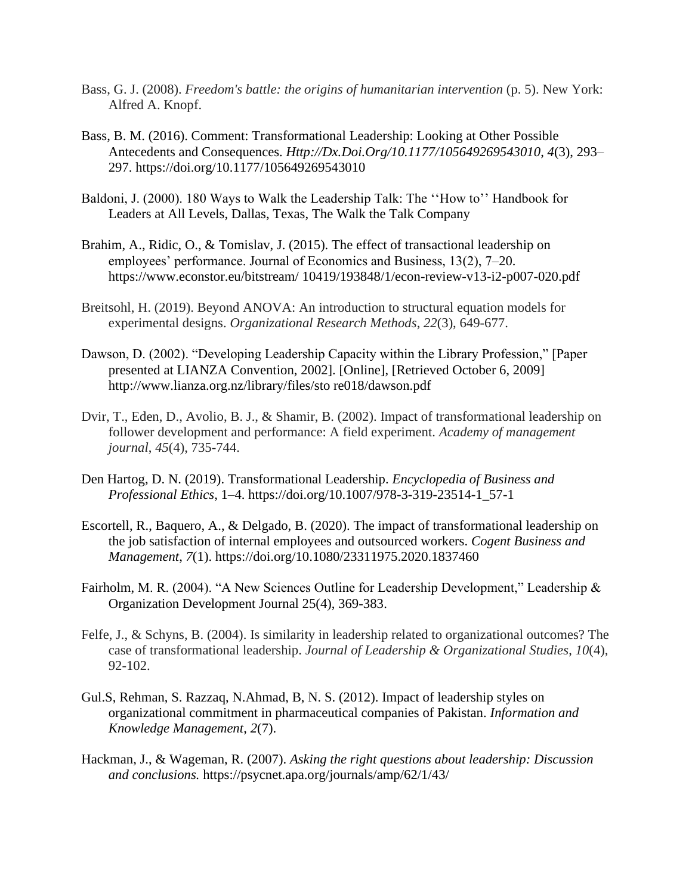- Bass, G. J. (2008). *Freedom's battle: the origins of humanitarian intervention* (p. 5). New York: Alfred A. Knopf.
- Bass, B. M. (2016). Comment: Transformational Leadership: Looking at Other Possible Antecedents and Consequences. *Http://Dx.Doi.Org/10.1177/105649269543010*, *4*(3), 293– 297. https://doi.org/10.1177/105649269543010
- Baldoni, J. (2000). 180 Ways to Walk the Leadership Talk: The ''How to'' Handbook for Leaders at All Levels, Dallas, Texas, The Walk the Talk Company
- Brahim, A., Ridic, O., & Tomislav, J. (2015). The effect of transactional leadership on employees' performance. Journal of Economics and Business, 13(2), 7–20. https://www.econstor.eu/bitstream/ 10419/193848/1/econ-review-v13-i2-p007-020.pdf
- Breitsohl, H. (2019). Beyond ANOVA: An introduction to structural equation models for experimental designs. *Organizational Research Methods*, *22*(3), 649-677.
- Dawson, D. (2002). "Developing Leadership Capacity within the Library Profession," [Paper presented at LIANZA Convention, 2002]. [Online], [Retrieved October 6, 2009] http://www.lianza.org.nz/library/files/sto re018/dawson.pdf
- Dvir, T., Eden, D., Avolio, B. J., & Shamir, B. (2002). Impact of transformational leadership on follower development and performance: A field experiment. *Academy of management journal*, *45*(4), 735-744.
- Den Hartog, D. N. (2019). Transformational Leadership. *Encyclopedia of Business and Professional Ethics*, 1–4. https://doi.org/10.1007/978-3-319-23514-1\_57-1
- Escortell, R., Baquero, A., & Delgado, B. (2020). The impact of transformational leadership on the job satisfaction of internal employees and outsourced workers. *Cogent Business and Management*, *7*(1). https://doi.org/10.1080/23311975.2020.1837460
- Fairholm, M. R. (2004). "A New Sciences Outline for Leadership Development," Leadership & Organization Development Journal 25(4), 369-383.
- Felfe, J., & Schyns, B. (2004). Is similarity in leadership related to organizational outcomes? The case of transformational leadership. *Journal of Leadership & Organizational Studies*, *10*(4), 92-102.
- Gul.S, Rehman, S. Razzaq, N.Ahmad, B, N. S. (2012). Impact of leadership styles on organizational commitment in pharmaceutical companies of Pakistan. *Information and Knowledge Management*, *2*(7).
- Hackman, J., & Wageman, R. (2007). *Asking the right questions about leadership: Discussion and conclusions.* https://psycnet.apa.org/journals/amp/62/1/43/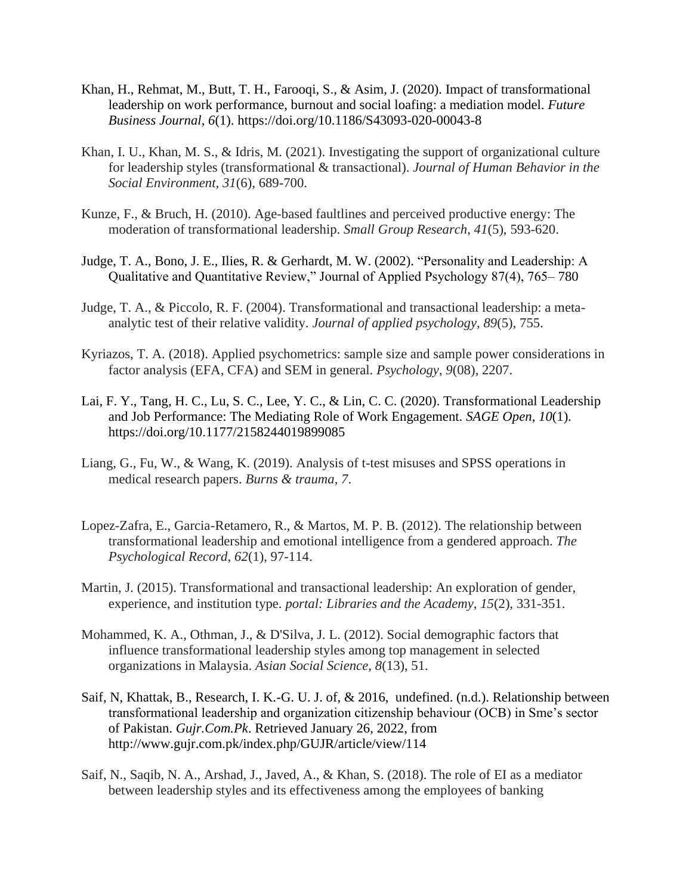- Khan, H., Rehmat, M., Butt, T. H., Farooqi, S., & Asim, J. (2020). Impact of transformational leadership on work performance, burnout and social loafing: a mediation model. *Future Business Journal*, *6*(1). https://doi.org/10.1186/S43093-020-00043-8
- Khan, I. U., Khan, M. S., & Idris, M. (2021). Investigating the support of organizational culture for leadership styles (transformational & transactional). *Journal of Human Behavior in the Social Environment*, *31*(6), 689-700.
- Kunze, F., & Bruch, H. (2010). Age-based faultlines and perceived productive energy: The moderation of transformational leadership. *Small Group Research*, *41*(5), 593-620.
- Judge, T. A., Bono, J. E., Ilies, R. & Gerhardt, M. W. (2002). "Personality and Leadership: A Qualitative and Quantitative Review," Journal of Applied Psychology 87(4), 765– 780
- Judge, T. A., & Piccolo, R. F. (2004). Transformational and transactional leadership: a metaanalytic test of their relative validity. *Journal of applied psychology*, *89*(5), 755.
- Kyriazos, T. A. (2018). Applied psychometrics: sample size and sample power considerations in factor analysis (EFA, CFA) and SEM in general. *Psychology*, *9*(08), 2207.
- Lai, F. Y., Tang, H. C., Lu, S. C., Lee, Y. C., & Lin, C. C. (2020). Transformational Leadership and Job Performance: The Mediating Role of Work Engagement. *SAGE Open*, *10*(1). https://doi.org/10.1177/2158244019899085
- Liang, G., Fu, W., & Wang, K. (2019). Analysis of t-test misuses and SPSS operations in medical research papers. *Burns & trauma*, *7*.
- Lopez-Zafra, E., Garcia-Retamero, R., & Martos, M. P. B. (2012). The relationship between transformational leadership and emotional intelligence from a gendered approach. *The Psychological Record*, *62*(1), 97-114.
- Martin, J. (2015). Transformational and transactional leadership: An exploration of gender, experience, and institution type. *portal: Libraries and the Academy*, *15*(2), 331-351.
- Mohammed, K. A., Othman, J., & D'Silva, J. L. (2012). Social demographic factors that influence transformational leadership styles among top management in selected organizations in Malaysia. *Asian Social Science*, *8*(13), 51.
- Saif, N, Khattak, B., Research, I. K.-G. U. J. of, & 2016, undefined. (n.d.). Relationship between transformational leadership and organization citizenship behaviour (OCB) in Sme's sector of Pakistan. *Gujr.Com.Pk*. Retrieved January 26, 2022, from http://www.gujr.com.pk/index.php/GUJR/article/view/114
- Saif, N., Saqib, N. A., Arshad, J., Javed, A., & Khan, S. (2018). The role of EI as a mediator between leadership styles and its effectiveness among the employees of banking